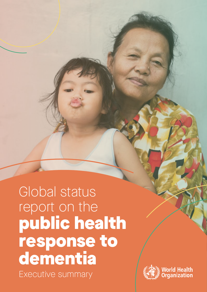Global status report on the public health response to dementia Executive summary

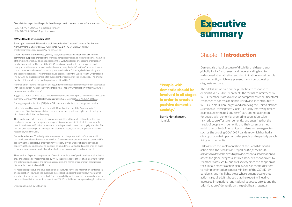# Executive summary

# Chapter 1 **Introduction**

Dementia is a leading cause of disability and dependency globally. Lack of awareness and understanding lead to widespread stigmatization and discrimination against people with dementia, which may prevent them from accessing diagnosis and care.

The Global action plan on the public health response to dementia 2017-2025 represents the formal commitment by WHO Member States to develop comprehensive multisectoral responses to address dementia worldwide. It contributes to WHO's Triple Billion Targets and achieving the United Nations Sustainable Development Goals (SDGs) by improving timely diagnosis, treatment, (long-term) care and rehabilitation for people with dementia; promoting population-wide risk reduction efforts for dementia; and ensuring that the needs of people with dementia and their carers are met within the context of humanitarian crises and emergencies, such as the ongoing COVID-19 pandemic which has had a disproportionate impact on older people and especially people living with dementia.

Halfway into the implementation of the Global dementia action plan, the *Global status report on the public health response to dementia* aims to provide essential information to assess the global progress. It takes stock of actions driven by Member States, WHO and civil society since the adoption of the Global dementia action plan in 2017, identifies barriers to its implementation especially in light of the COVID-19 pandemic, and highlights areas where urgent, accelerated action is required. It is hoped that the report will lead to increased international and national advocacy efforts and the prioritization of dementia on the global health agenda.

#### "People with dementia should be involved in all stages in order to create a positive dementia society."

**Berrie Holtzhausen,**  Namibia

#### Global status report on the public health response to dementia: executive summary

ISBN 978-92-4-003462-4 (electronic version) ISBN 978-92-4-003463-1 (print version)

#### **© World Health Organization 2021**

Some rights reserved. This work is available under the Creative Commons Attribution-NonCommercial-ShareAlike 3.0 IGO licence (CC BY-NC-SA 3.0 IGO; [https://](https://creativecommons.org/licenses/by-nc-sa/3.0/igo) [creativecommons.org/licenses/by-nc-sa/3.0/igo](https://creativecommons.org/licenses/by-nc-sa/3.0/igo)).

Under the terms of this licence, you may copy, redistribute and adapt the work for noncommercial purposes, provided the work is appropriately cited, as indicated below. In any use of this work, there should be no suggestion that WHO endorses any specific organization, products or services. The use of the WHO logo is not permitted. If you adapt the work, then you must license your work under the same or equivalent Creative Commons licence. If you create a translation of this work, you should add the following disclaimer along with the suggested citation: "This translation was not created by the World Health Organization (WHO). WHO is not responsible for the content or accuracy of this translation. The original English edition shall be the binding and authentic edition".

Any mediation relating to disputes arising under the licence shall be conducted in accordance with the mediation rules of the World Intellectual Property Organization [\(http://www.wipo.](http://www.wipo.int/amc/en/mediation/rules/) [int/amc/en/mediation/rules/\)](http://www.wipo.int/amc/en/mediation/rules/).

Suggested citation. Global status report on the public health response to dementia: executive summary. Geneva: World Health Organization; 2021. Licence: [CC BY-NC-SA 3.0 IGO](https://creativecommons.org/licenses/by-nc-sa/3.0/igo/) .

Cataloguing-in-Publication (CIP) data. CIP data are available at [http://apps.who.int/iris](http://apps.who.int/iris/) .

Sales, rights and licensing. To purchase WHO publications, see [http://apps.who.int/](http://apps.who.int/bookorders) [bookorders](http://apps.who.int/bookorders). To submit requests for commercial use and queries on rights and licensing, see <http://www.who.int/about/licensing>.

Third-party materials. If you wish to reuse material from this work that is attributed to a third party, such as tables, figures or images, it is your responsibility to determine whether permission is needed for that reuse and to obtain permission from the copyright holder. The risk of claims resulting from infringement of any third-party-owned component in the work rests solely with the user.

General disclaimers. The designations employed and the presentation of the material in this publication do not imply the expression of any opinion whatsoever on the part of WHO concerning the legal status of any country, territory, city or area or of its authorities, or concerning the delimitation of its frontiers or boundaries. Dotted and dashed lines on maps represent approximate border lines for which there may not yet be full agreement.

The mention of specific companies or of certain manufacturers' products does not imply that they are endorsed or recommended by WHO in preference to others of a similar nature that are not mentioned. Errors and omissions excepted, the names of proprietary products are distinguished by initial capital letters.

All reasonable precautions have been taken by WHO to verify the information contained in this publication. However, the published material is being distributed without warranty of any kind, either expressed or implied. The responsibility for the interpretation and use of the material lies with the reader. In no event shall WHO be liable for damages arising from its use.

Design and Layout by [Café.art.br](http://cafe.art.br)

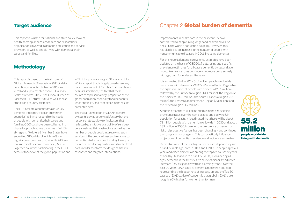#### Target audience

This report is written for national and state policy-makers, health-sector planners, academics and researchers, organizations involved in dementia education and service provision, as well as people living with dementia, their carers and families.

#### Methodology

This report is based on the first wave of Global Dementia Observatory (GDO) data collection, conducted between 2017 and 2020 and supplemented by WHO's *Global health estimates* (2019), the Global Burden of Disease (GBD) study (2019) as well as case studies and country examples.

The GDO collates country data on 35 key dementia indicators that can strengthen countries' ability to respond to the needs of people with dementia, their carers and families. GDO data have been collected in a phased approach across countries in WHO's six regions. To date, 62 Member States have submitted GDO data, of which 56% are high-income countries (HICs), while 44% are low and middle-income countries (LMICs). Together, countries participating in the GDO account for 65.5% of the global population and

76% of the population aged 60 years or older. While a report that is largely based on survey data from a subset of Member States certainly bears its limitations, the fact that these countries represent a large proportion of the global population, especially for older adults, lends credibility and confidence in the results presented here.

The overall completion of GDO indicators by countries was largely satisfactory but the response rate was low for indicators that reflected quantitative availability of services/ personnel/health infrastructure as well as the number of people providing/receiving such services. If the preparedness and response to dementia is to be improved, it is key to support countries in collecting quality and standardized data in order to inform the design of sizeable responses and targeted interventions.

# Chapter 2 Global burden of dementia

Improvements in health care in the past century have contributed to people living longer and healthier lives. As a result, the world's population is ageing. However, this has also led to an increase in the number of people with noncommunicable diseases (NCDs), including dementia.

For this report, dementia prevalence estimates have been updated on the basis of GBD2019 data, using age-specific prevalence estimates for all-cause dementia by sex and age group. Prevalence rates continue to increase progressively with age, both for males and females.

It is estimated that in 2019 55.2 million people worldwide were living with dementia. WHO's Western Pacific Region has the highest number of people with dementia (20.1 million), followed by the European Region (14.1 million), the Region of the Americas (10.3 million), the South-East Asia Region (6.5 million), the Eastern Mediterranean Region (2.3 million) and the African Region (1.9 million).

Assuming that there will be no change in the age-specific prevalence rates over the next decades and applying UN population forecasts, it is estimated that there will be about 78 million people with dementia worldwide in 2030 and about 139 million in 2050. However, the prevalence of dementia risk and protective factors has been changing – and continues to change – in most regions. This can drastically influence projections of dementia prevalence and incidence estimates.

Dementia is one of the leading causes of care dependency and disability in old age, both in HICs and LMICs. In people aged 60 years and older, dementia is among the top ten causes of years of healthy life lost due to disability (YLDs). Considering all ages, dementia is the twenty-fifth cause of disability-adjusted life years (DALYs) globally with an alarming trend. Over the past 20 years, DALYs due to dementia more than doubled, representing the biggest rate of increase among the Top 30 causes of DALYs. Also of concern is that globally, DALYs are roughly 60% higher for women than for men.

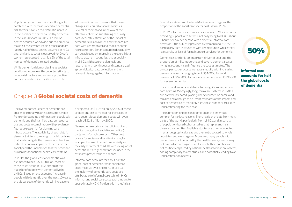South-East Asian and Eastern Mediterranean regions, the proportion of the social care sector cost is low (<15%).

In 2019, informal dementia carers spent over 89 billion hours providing support with activities of daily living (ADLs) – about 5 hours per day per person with dementia. Informal care provision – the bulk of it provided by women (about 70%) – is particularly high in countries with low resources where there is a scarcity or lack of formal support services for dementia.

Dementia severity is an important driver of cost and the proportion of mild, moderate, and severe dementia cases living in a country can influence the cost estimates. The annual per-patient costs increase steadily with increasing dementia severity, ranging from US\$16000 for mild dementia, US\$27000 for moderate dementia to US\$36000 for severe dementia.

The cost of dementia worldwide has a significant impact on care systems. Worryingly, long-term care systems in LMICs are not well-prepared, placing a heavy burden on carers and families and although the current estimates of the impact and cost of dementia are markedly high, these numbers are likely underestimating the true cost.

The estimation of global economic costs of dementia is complex for various reasons. There is a lack of data from many parts of the world, particularly from LMICs, and a scarcity of population-based cohort studies that represent their diverse communities. Available studies are often conducted in small geographical areas and then extrapolated to whole countries, and even regions. Moreover, many people with dementia are not detected by the health-care system or may not have a formal diagnosis and, as such, their numbers are not routinely captured by national health information systems, adding complexity to cost studies and potentially leading to an underestimation of costs.

Population growth and improved longevity, combined with increases of certain dementia risk factors, have led to a dramatic increase in the number of deaths caused by dementia in the last 20 years. In 2019, 1.6 million deaths occurred worldwide due to dementia, making it the seventh leading cause of death. Nearly half of these deaths occurred in HICs and, similarly to what is observed for DALYs, women represented roughly 65% of the total number of dementia-related deaths.

While dementia risk may decline as societal conditions improve with concerted efforts to reduce risk factors and enhance protective factors, persistent inequalities need to be

addressed in order to ensure that these changes are equitable across societies. Several barriers stand in the way of the effective collection and sharing of quality data. Accurate estimation of the impact of dementia relies on robust and standardized data with geographical and wide economic representation. Enhancement in data quality can be achieved by improving the overall data infrastructure in countries, and especially in LMICs, with accurate diagnosis and reporting, with continuous and standardized epidemiological data collection and with relevant disaggregated information.

#### Chapter 3 Global societal costs of dementia

The overall consequences of dementia are challenging for any health care system. Aside from understanding the impacts on people with dementia and their families, data on resource use and costs in combination with prevalence figures are essential for planning care infrastructure. The availability of such data is also vital to inform the design of public policies that aim to mitigate the tremendous direct and indirect economic impact of dementia on the society and the implications that the economic burden has for national health-care systems.

In 2019, the global cost of dementia was estimated to be US\$ 1.3 trillion. Most of these costs occur in HICs although the majority of people with dementia live in LMICs. Based on the expected increase in people with dementia over the next 10 years, the global costs of dementia will increase to

a projected US\$ 1.7 trillion by 2030. If these projections are corrected for increases in care costs, global dementia costs will even reach US\$2.8 trillion by 2030.

Dementia care costs can be split into direct medical costs, direct social (non-medical) costs and informal care costs. Other cost drivers for society and families include, for example, the loss of carers' productivity and the early retirement of adults with young-onset dementia, but are generally not included in the estimates presented in this report.

Informal care accounts for about half the global cost of dementia, while social care costs make up over one third. In LMICs, the majority of dementia care costs are attributable to informal care, while in HICs informal and social care costs each amount to approximately 40%. Particularly in the African,

Informal care accounts for half the global costs of dementia



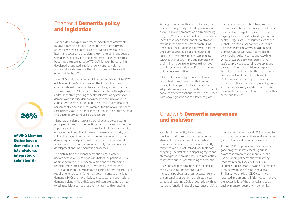### Chapter 4 Dementia policy and legislation

National dementia plans represent important commitments by governments to address dementia in partnership with other relevant stakeholders such as civil society, academia, health and social care providers, the private sector and people with dementia. The Global dementia action plan reflects this by setting the global target of 75% of Member States having developed or updated a national policy, strategy, plan or framework for dementia, either stand-alone or integrated into other policies by 2025.

Using GDO data and other available sources, 50 countries (26% of Member States) currently meet this target. The majority of existing national dementia plans are well aligned with the seven action areas of the Global dementia action plan, although fewer address the strengthening of health information systems for dementia or prioritize dementia research and innovation. In addition, while national dementia plans often put emphasis on person-centred care, it is less common for them to outline how care pathways are to be implemented, monitored and integrated into existing service models across sectors.

Many national dementia plans also reflect the cross-cutting principles of the Global dementia action plan by recognizing the importance of human rights, multisectoral collaboration, equity, empowerment and UHC. However, the needs of minority and vulnerable populations remain largely unaddressed in national dementia plans and people with dementia, their carers and families need to be more comprehensively involved in policy development and implementation processes.

The distribution of national dementia plans is largely uneven across WHO regions, with half of the policies (*n*=26) originating from the European Region and the remaining reported from other regions. However, even within the European Region, many plans are expiring, or have expired, and require renewed commitment by governments to prioritize dementia. HICs are more likely to create stand-alone national dementia plans while LMICs tend to integrate dementia into existing policies such as those for mental health or ageing.

Among countries with a dementia plan, there is vast heterogeneity in funding allocation as well as in implementation and monitoring targets.While many national dementia plans identify the need for financial investment, few delineate mechanisms for mobilizing and allocating funding (e.g. between national and subnational levels of the health and social care system). Similarly, while many GDO countries (90%) include dementia in their ministry portfolio, fewer (68%) have appointed a dementia-specific government unit or representative.

Of all GDO countries, just over two thirds report having legal provisions that protect the rights of people with dementia; few have adopted dementia-specific legislation. The use of coercive practices continues to exist in countries with weak legislative and regulatory regimes.

In summary, many countries have insufficient technical expertise and capacity to implement national dementia policies, and there is an ongoing lack of earmarked funding in national health budgets. WHO resources such as the [Global Dementia Observatory Knowledge](https://globaldementia.org/en)  [Exchange Platform](https://globaldementia.org/en) (www.globaldementia. org) can help foster mutual learning and policy exchange between countries, while WHO's *[Towards a dementia plan: a WHO](https://apps.who.int/iris/handle/10665/272642)  [guide](https://apps.who.int/iris/handle/10665/272642)* can provide support in developing and operationalizing national dementia plans. Technical support provided through national and regional workshops in partnership with WHO can also help strengthen national capacity, facilitate intercountry learning, and assist in rationalizing available resources to improve the lives of people with dementia, their carers and families.

### Chapter 5 Dementia awareness and inclusion

People with dementia, their carers and families worldwide continue to experience stigma, discrimination and human rights violations. Moreover, dementia is frequently misconceived as a natural and inevitable part of ageing. The first step to dispelling myths and stereotypes is to provide accurate information to improve public understanding of dementia.

The Global dementia action plan recognizes this by focusing one action area on increasing public awareness, acceptance and understanding of dementia and sets global targets of reaching 100% of countries with at least one functioning public awareness-raising campaign on dementia and 50% of countries with at least one dementia-friendly initiative (DFI) to foster a dementia-inclusive society.

Across WHO regions, countries have made good progress in implementing public awareness campaigns to improve public understanding of dementia, with strong leadership by civil society. Of all GDO countries, approximately two thirds reported running awareness raising campaigns. Similarly, two thirds of GDO countries reported implementing initiatives to improve the accessibility of the physical and social environment for people with dementia.

#### of WHO Member States have a dementia plan (stand-alone, integrated or subnational)



# 26%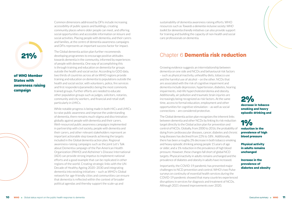Common dimensions addressed by DFIs include increasing

accessibility of public spaces and buildings, creating community places where older people can meet, and offering social opportunities and accessible information on leisure and social activities. Placing people with dementia, and their carers and families, at the centre of dementia awareness campaigns and DFIs represents an important success factor for impact.

The Global dementia action plan further recommends developing programmes to encourage positive attitudes towards dementia in the community, informed by experiences of people with dementia. One way of accomplishing this is through training and education on dementia for groups outside the health and social sector. According to GDO data, two thirds of countries across all six WHO regions provide training and education on dementia to populations outside the health and social sector, with volunteers, police, fire services and first responders/paramedics being the most commonly trained groups. Further efforts are needed to educate other population groups such as judges, solicitors, notaries, community and city workers, and financial and retail staff, particularly in LMICs.

While notable progress is being made in both HICs and LMICs to raise public awareness and improve the understanding of dementia, there remains much stigma and discrimination globally against people with dementia and their carers. Well-resourced public awareness campaigns implemented in partnership with civil society, people with dementia and their carers, and other relevant stakeholders represent an important actionable step towards achieving the targets included in the Global dementia action plan. Regional awareness-raising campaigns such as the joint [Let's Talk](https://www.paho.org/lets-talk-about-dementia/)  [about Dementia campaign](https://www.paho.org/lets-talk-about-dementia/) of the Pan American Health Organization (PAHO) and Alzheimer's Disease International (ADI) can provide strong impetus to implement national efforts and a good example that can be replicated in other regions of the world. Creating strategic links with the [UN](https://www.who.int/initiatives/decade-of-healthy-ageing)  [Decade of Healthy Ageing 2020–2030](https://www.who.int/initiatives/decade-of-healthy-ageing) and integrating dementia into existing initiatives – such as WHO's [Global](https://extranet.who.int/agefriendlyworld/who-network/)  [network for age-friendly cities and communities](https://extranet.who.int/agefriendlyworld/who-network/) can ensure that dementia is reflected within the context of broader political agendas and thereby support the scale-up and

1% reduction in the prevalence of high blood pressure

sustainability of dementia awareness raising efforts. WHO resources such as *Towards a dementia-inclusive society: WHO toolkit for dementia-friendly initiatives* can also provide support for training and building the capacity of non-health and social care professionals on dementia.

# Chapter 6 Dementia risk reduction

Growing evidence suggests an interrelationship between dementia on one side and NCDs and behavioural risk factors – such as physical inactivity, unhealthy diets, tobacco use and the harmful use of alcohol – on the other. NCDs that are associated with the risk of cognitive impairment and dementia include depression, hypertension, diabetes, hearing impairments, mid-life hypercholesterolemia and obesity. Additionally, air pollution and traumatic brain injuries are increasingly being recognized as risk factors. At the same time, access to formal education, employment and other opportunities for cognitive stimulation – as well as social connections – are considered protective.

The Global dementia action plan recognizes the inherent links between dementia and other NCDs by linking its risk reduction target directly to the Global action plan for prevention and control of NCDs. Globally, from 2000 to 2016, the probability of dying from cardiovascular diseases, cancer, diabetes and chronic lung diseases has declined from 22% to 18% . Additionally, there has been a roughly 2% decrease in both tobacco smoking and heavy episodic drinking among people 15 years of age or older, and a 1% reduction in the prevalence of high blood pressure. However, these changes fall short of global NCD targets. Physical inactivity in adults remains unchanged and the prevalence of diabetes and obesity in adults have increased.

Importantly, the COVID-19 pandemic has presented major challenges to NCD prevention and control. WHO's two Pulse surveys on continuity of essential health services during the COVID-19 pandemic showed that many countries experienced disruptions in services for diagnosis and treatment of NCDs. Although 2021 showed improvements over 2020,

## of WHO Member States with awareness raising campaign

21%



#### 2% decrease in tobacco smoking and heavy episodic drinking and

Physical activity in adults remains unchanged

Increase in the prevalence of diabetes and obesity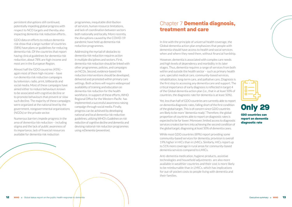persistent disruptions still continued, potentially impeding global progress with respect to NCD targets and thereby also impacting dementia risk reduction efforts.

GDO data on efforts to reduce dementia risk show that a large number of countries (58%) have plans or guidelines for reducing dementia risk. Of the countries that report having clinical guidelines for dementia risk reduction, about 78% are high-income and most are in the European Region.

Almost half the GDO countries (45%) – again most of them high-income – have run dementia risk reduction campaigns by television, radio, print, billboards and social media. Most of these campaigns have aimed either to reduce behaviours known to be associated with cognitive decline or to promote behaviours that prevent or slow such decline. The majority of these campaigns were organized at the national level by the government, nongovernmental organizations (NGOs) or the private sector.

Numerous barriers impede progress in the area of dementia risk reduction – including stigma and the lack of public awareness of its importance, lack of financial resources available for dementia risk reduction

#### Chapter 7 Dementia diagnosis, treatment and care

programmes, inequitable distribution of services, human resource limitations, and lack of coordination between sectors both nationally and locally. More recently, the disruptions caused by the COVID-19 pandemic have held up dementia risk reduction programmes.

Addressing the myriad of obstacles to dementia risk reduction requires action in multiple disciplines and sectors. First, dementia risk reduction should be linked with other programmes, policies, and campaigns on NCDs. Second, evidence-based risk reduction interventions should be developed, delivered and promoted within primary care settings. Both actions will require widespread availability of training and education on dementia risk reduction for the health workforce. In support of these efforts, WHO Regional Office for the Western Pacific has implemented a successful awareness raising campaign through social media. Finally, progress can be achieved by developing national and local dementia risk reduction guidelines, utilizing WHO's *[Guidelines on risk](https://www.who.int/publications/i/item/risk-reduction-of-cognitive-decline-and-dementia)  [reduction of cognitive decline and dementia](https://www.who.int/publications/i/item/risk-reduction-of-cognitive-decline-and-dementia)* and devising national risk reduction programmes using *[mDementia](https://www.who.int/publications/i/item/9789240019966) (prevention)*.

In line with the principle of universal health coverage, the Global dementia action plan emphasizes that people with dementia should have access to health and social services when and where they need them, without financial hardship.

However, dementia is associated with complex care needs and high levels of dependency and morbidity in its later stages. Thus, dementia requires a range of services from both within and outside the health sector – such as primary health care, specialist medical care, community-based services, rehabilitation, long-term care, and palliative care. Diagnosis is the first step to accessing any dementia care and support. The critical importance of early diagnosis is reflected in target 4 of the Global dementia action plan (i.e., that in at least 50% of countries, the diagnostic rate for dementia is at least 50%).

Yet, less than half of GDO countries are currently able to report on dementia diagnostic rates, falling short of the first condition of the global target. This is of concern since GDO countries are likely to be more "dementia-ready". Therefore, the global proportion of countries able to report on diagnostic rates is expected to be far lower. Moreover, limited access to diagnostic services creates barriers into achieving the second condition of the global target, diagnosing at least 50% of dementia cases.

While most GDO countries (89%) report providing some community-based services for dementia, provision is overall 19% higher in HICs than in LMICs. Similarly, HICs report up to 51% more coverage in rural areas for community-based dementia services compared to LMICs.

Anti-dementia medication, hygiene products, assistive technologies and household adjustments are also more available in wealthier countries and their cost is more likely to be reimbursable than in LMICs, which has implications for out-of-pocket costs to people living with dementia and their families.





GDO countries can report on dementia diagnostic rate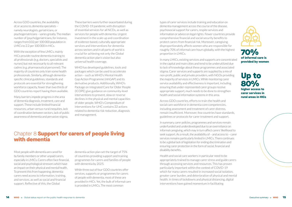Across GDO countries, the availability of, or access to, dementia specialists – namely neurologists, geriatricians, or psychogeriatricians – varies greatly. The median number of (psycho)geriatricians, for instance, ranges from 0.02 per 100 000 population in LMICs to 2.2 per 100 000 in HICs.

With the exception of few LMICs, mainly HICs provide routine dementia training to all professionals (e.g. doctors, specialists and nurses) but not necessarily to all relevant cadres (e.g. pharmaceutical personnel). The majority of countries only train some health professionals. Similarly, although dementiaspecific clinical guidelines, standards and protocols are essential for strengthening workforce capacity, fewer than two thirds of GDO countries report having them available.

Many barriers impede progress in the area of dementia diagnosis, treatment, care and support. These include limited financial resources, urban-versus-rural inequities, lack of coordination between sectors, lack of public awareness of dementia and pervasive stigma.

These barriers were further exacerbated during the COVID-19 pandemic with disruption of essential services for all NCDs, as well as services for people with dementia. Urgent investment in the scale-up and coordination of evidence-based, culturally appropriate services and interventions for dementia across sectors and in all parts of world is crucial for achieving not only the Global dementia action plan's vision but also universal health coverage.

WHO has developed guidelines, tools and packages which can be used to accelerate action – such as WHO's Mental Health Gap Action Programme ([mhGAP\)](https://www.who.int/activities/scaling-up-mental-health-care) and its derivative products. Additionally, WHO's Package on Integrated Care for Older People [\(ICOPE](https://www.who.int/publications/i/item/WHO-FWC-ALC-19.1)) give guidance on community-level interventions to prevent, slow or reverse declines in the physical and mental capacities of older people. WHO's [Compendium of](https://www.who.int/universal-health-coverage/compendium)  [interventions for UHC](https://www.who.int/universal-health-coverage/compendium) contains 22 actions related to dementia risk reduction, diagnosis and management.

#### Chapter 8 Support for carers of people living with dementia

Most people with dementia are cared for by family members or other unpaid carers, especially in LMICs. Carers often face financial, social and psychological stressors which have an impact on their physical and mental health. To prevent this from happening, dementia carers need access to information, training, and services, as well as social and financial support. Reflective of this, the Global

dementia action plan set the target of 75% of countries providing support and training programmes for carers and families of people with dementia by 2025.

While three out of four GDO countries offer services, supports or programmes for carers of people with dementia, most of these are provided in HICs. Yet, the bulk of informal care is provided in LMICs. The most common

types of carer services include training and education on dementia management across the course of the disease, psychosocial support for carers, respite services and information or advice on legal rights. Fewer countries provide comprehensive financial and social security benefits to protect carers from financial risk. Moreover, caregiving disproportionately affects women who are responsible for roughly 70% of informal care hours globally, with the highest proportion in LMICs.

In many LMICs, existing services and supports are concentrated in the capital and main cities and tend to be underutilized due to lack of knowledge about these programmes and associated stigma. Carer services and supports are supplied by a mix of non-profit, public and private providers, with NGOs providing the majority of services in LMICs. While monitoring carer service availability and effectiveness is important, including ensuring that under-represented carer groups receive appropriate support, much needs to be done to strengthen health and social information systems in this area.

Across GDO countries, efforts to train the health and social care workforce in dementia core competencies, including assessment and treatment of carer distress, remain insufficient. Moreover, few countries have standards, guidelines or protocols for carer treatment and support.

In summary, carer policies, programmes and services remain underfunded and underdeveloped due to an overreliance on informal caregiving, which may in turn affect carers' likelihood to seek support. As a result, the availability of – and access to – carer services remains particularly limited in LMICs. There continues to be a global lack of legislation for ending discrimination and ensuring carer protection in the form of social, financial and disability benefits.

Health and social care workers in particular need to be appropriately trained to manage carer stress and guide carers through accessing services and resources. This has proven particularly important within the context of COVID-19 which for many carers resulted in increased social isolation, greater carer burden, and deterioration of physical and mental health. In times of lockdowns and physical distancing, digital interventions have gained momentum in facilitating





Up to 80% higher access to carer services in rural areas in HICs

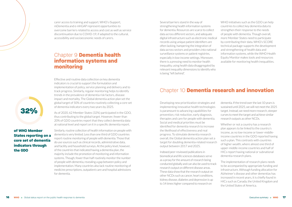carer access to training and support. WHO's [iSupport,](https://worldhealthorg.sharepoint.com/sites/BrainHealthBRH/Shared%20Documents/BRH%20Dementia/WHO%202020%20dementia%20report/Whole%20document/AMRIA%20Access%20Working%20Group%2016%20June%202020%20meeting%20follow-up) [mDementia](https://apps.who.int/iris/handle/10665/339846) and e-mhGAP represent opportunities to overcome barriers related to access and cost as well as service discontinuation due to COVID-19, if adapted to the cultural, accessibility and socioeconomic needs of carers.

#### Chapter 9 Dementia health information systems and monitoring

Effective and routine data collection on key dementia indicators is crucial to support the formulation and implementation of policy, service planning and delivery and to track progress. Similarly, regular monitoring helps to identify trends in the prevalence of dementia risk factors, disease impact and mortality. The Global dementia action plan set the global target of 50% of countries routinely collecting a core set of dementia indicators every two years by 2025.

As of 2020, 62 Member States (32%) participated in the GDO, thus contributing to the global target. However, fewer than 20% of GDO countries report that they collect dementia data at national level and report on it in a specific dementia report.

Similarly, routine collection of health information on people with dementia is very limited. Less than one third of GDO countries report routine monitoring of people with dementia. Those that do use sources such as clinical records, administrative data, and facility and household surveys. At the policy level, however, of the countries that indicated having a dementia plan, the majority include the promotion of monitoring and information systems. Though, fewer than half routinely monitor the number of people with dementia, revealing a gap between policy and implementation. Many countries also lack routine monitoring of medicine prescriptions, outpatient care and hospital admissions for dementia.

Several barriers stand in the way of strengthening health information systems for dementia. Resources are scarce to collect data across different sectors, and adequate digital infrastructure such as electronic medical records using unique patient identifiers are often lacking, hampering the integration of data across sectors and providers into national surveillance systems or patient registries, especially in low-income settings. Moreover, there is a pressing need to monitor health inequality, using health data disaggregated by relevant inequality dimensions to identify who is being "left behind".

WHO initiatives such as the GDO can help countries to collect key dementia data to strengthen their response to the needs of people with dementia. Though overall, more Member States need to participate by contributing their data. WHO's [SCORE](https://apps.who.int/iris/handle/10665/334006)  [technical package](https://apps.who.int/iris/handle/10665/334006) supports the development and strengthening of health data and information systems, while the WHO [Health](https://www.who.int/data/gho/health-equity)  [Equity Monitor](https://www.who.int/data/gho/health-equity) makes tools and resources available for monitoring health inequalities.

### Chapter 10 Dementia research and innovation

Developing new prioritization strategies and implementing innovative health technologies is paramount to advancing capabilities for prevention, risk reduction, early diagnosis, therapies and care for people with dementia. Social and medical priorities must be identified for dementia research to increase the likelihood of effectiveness and real progress. To stimulate dementia research overall, the Global dementia action plan set a target for doubling dementia-related research output between 2017 and 2025.

Indexed peer-reviewed publications in biomedical and life sciences databases serve as a proxy for the amount of research being conducted globally and can also be used to track research output on different disease areas. These data show that the research output on other NCDs such as cancer, heart conditions, kidney disease, diabetes and depression is up to 14 times higher compared to research on

dementia. If the trend over the last 10 years is sustained until 2025, we will not meet the 2025 target. Instead, we need more research, steeper curves to meet the target and achieve similar research outputs as other NCDs.

Whether or not a country has a research plan appears to be linked to the country's income, as no low-income or lower-middleincome countries in the GDO reported having such a plan. This contrasts with countries of higher wealth, where almost one third of upper-middle-income countries and half of HICs report having national or subnational dementia research plans.

The implementation of research plans needs to be accompanied by appropriate funding and infrastructure. Although funding allocation for Alzheimer's disease and other dementias has increased in recent years, it is chiefly found in HICs such as Canada, the United Kingdom and the United States of America.

of WHO Member States reporting on a core set of dementia indicators through the GDO

32%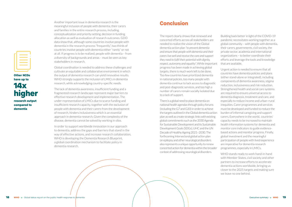Another important issue in dementia research is the meaningful inclusion of people with dementia, their carers and families in the entire research process, including conceptualization and priority setting, decision in funding allocation as well as evaluation of research outcomes. GDO data show that, although some countries involve people with dementia in the research process "frequently", two thirds of countries involve people with dementia either "rarely" or not at all. If progress is to be realized, people with dementia – from a diversity of backgrounds and areas – must be seen as key stakeholders in research.

Global coordination is needed to address these challenges and cultivate an equitable and collaborative environment in which the output of dementia research can yield innovative results. WHO strongly supports the inclusion of LMICs in dementia research, while acknowledging country-specific needs.

The lack of dementia awareness, insufficient funding and a fragmented research landscape represent major barriers to effective research development and implementation. The under-representation of LMICs due to scarce funding and insufficient research capacity, together with the exclusion of people with dementia and their carers from the development of research, hinders inclusiveness which is an essential approach in dementia research. Given the complexity of the disease, dementia cannot be solved by working in silos.

In order to support worldwide innovation in our approach to dementia, address the gaps and barriers that stand in the way of effective actions, and increase research collaboration, WHO is developing the Dementia Research Blueprint, a global coordination mechanism to facilitate policy in dementia research.

#### **Conclusion**

The report clearly shows that renewed and concerted efforts across all stakeholders are needed to realize the vision of the Global dementia action plan *"to prevent dementia and ensure that people with dementia and their carers live well and receive the care and support they need to fulfil their potential with dignity, respect, autonomy and equality".* While important progress has been made in achieving global targets, there is much work left to be done. Too few countries have prioritized dementia in national policies, too many people with dementia continue to lack access to diagnostic and post-diagnostic services, and too high a number of carers remain socially isolated due to a lack of support.

There is a global need to place dementia on national health agendas through policy forums (including the G7 and G20) in order to achieve the targets outlined in the Global dementia action plan as well as create strategic links with existing global commitments such as the 2030 Agenda for Sustainable Development and its Sustainable Development Goals (SDGs), UHC and the UN Decade of Healthy Ageing 2021–2030. The forthcoming Intersectoral global action plan on epilepsy and other neurological disorders also represents a unique opportunity to renew concerted action for dementia within the broader context of addressing neurological disorders.

Building back better in light of the COVID-19 pandemic necessitates working together as a global community – with people with dementia, their carers, governments, civil society, the private sector, academia and international organizations – to better coordinate their efforts and leverage the tools and knowledge that are available.

Urgent action is needed to ensure that all countries have dementia policies and plans (either stand-alone or integrated), including components of dementia awareness, stigma reduction, inclusiveness and risk reduction. Strengthened health and social care systems are required to ensure universal access to dementia diagnosis, treatment and care, and especially to reduce income and urban–rural inequities. Carer programmes and services must be developed and funded to reduce the burden of informal caregiving and support carers. Everywhere in the world, countries' capacity needs to be increased to maintain health information systems for dementia and monitor core indicators to guide evidencebased actions and monitor progress. Finally, global investment and the meaningful participation of people with lived experience are imperative for dementia research programmes, especially in LMICs.

WHO stands ready to work hand-in-hand with Member States, civil society and other partners to increase efforts to accelerate dementia actions worldwide, bringing us closer to the 2025 targets and making sure we leave no one behind.

Other NCDs have up to

14x

higher research output compared to dementia